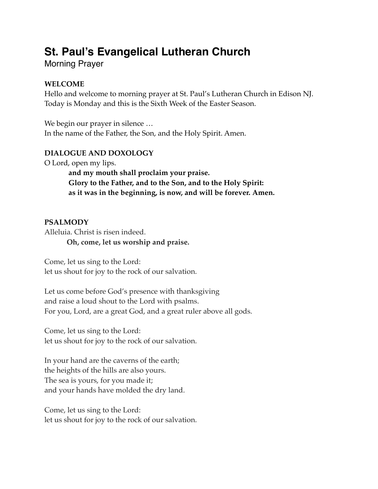# **St. Paul's Evangelical Lutheran Church**

Morning Prayer

# **WELCOME**

Hello and welcome to morning prayer at St. Paul's Lutheran Church in Edison NJ. Today is Monday and this is the Sixth Week of the Easter Season.

We begin our prayer in silence … In the name of the Father, the Son, and the Holy Spirit. Amen.

# **DIALOGUE AND DOXOLOGY**

O Lord, open my lips.

**and my mouth shall proclaim your praise. Glory to the Father, and to the Son, and to the Holy Spirit: as it was in the beginning, is now, and will be forever. Amen.**

# **PSALMODY**

Alleluia. Christ is risen indeed. **Oh, come, let us worship and praise.**

Come, let us sing to the Lord: let us shout for joy to the rock of our salvation.

Let us come before God's presence with thanksgiving and raise a loud shout to the Lord with psalms. For you, Lord, are a great God, and a great ruler above all gods.

Come, let us sing to the Lord: let us shout for joy to the rock of our salvation.

In your hand are the caverns of the earth; the heights of the hills are also yours. The sea is yours, for you made it; and your hands have molded the dry land.

Come, let us sing to the Lord: let us shout for joy to the rock of our salvation.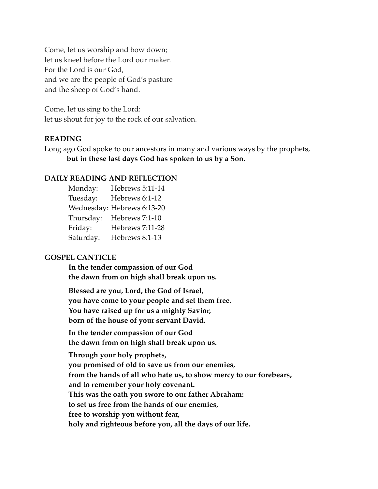Come, let us worship and bow down; let us kneel before the Lord our maker. For the Lord is our God, and we are the people of God's pasture and the sheep of God's hand.

Come, let us sing to the Lord: let us shout for joy to the rock of our salvation.

### **READING**

Long ago God spoke to our ancestors in many and various ways by the prophets, **but in these last days God has spoken to us by a Son.**

### **DAILY READING AND REFLECTION**

Monday: Hebrews 5:11-14 Tuesday: Hebrews 6:1-12 Wednesday: Hebrews 6:13-20 Thursday: Hebrews 7:1-10 Friday: Hebrews 7:11-28 Saturday: Hebrews 8:1-13

### **GOSPEL CANTICLE**

**In the tender compassion of our God the dawn from on high shall break upon us.**

**Blessed are you, Lord, the God of Israel, you have come to your people and set them free. You have raised up for us a mighty Savior, born of the house of your servant David.**

**In the tender compassion of our God the dawn from on high shall break upon us.**

**Through your holy prophets, you promised of old to save us from our enemies, from the hands of all who hate us, to show mercy to our forebears, and to remember your holy covenant. This was the oath you swore to our father Abraham: to set us free from the hands of our enemies, free to worship you without fear, holy and righteous before you, all the days of our life.**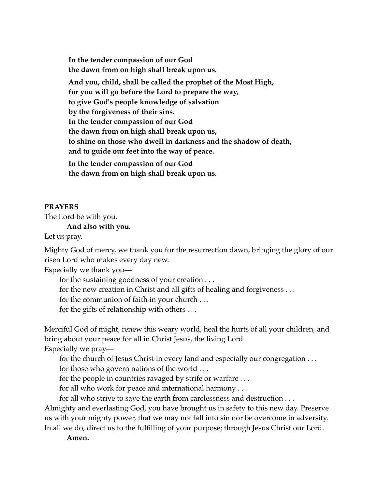**In the tender compassion of our God the dawn from on high shall break upon us. And you, child, shall be called the prophet of the Most High, for you will go before the Lord to prepare the way, to give God's people knowledge of salvation by the forgiveness of their sins. In the tender compassion of our God the dawn from on high shall break upon us, to shine on those who dwell in darkness and the shadow of death, and to guide our feet into the way of peace.**

**In the tender compassion of our God the dawn from on high shall break upon us.**

#### **PRAYERS**

The Lord be with you.

**And also with you.**

Let us pray.

Mighty God of mercy, we thank you for the resurrection dawn, bringing the glory of our risen Lord who makes every day new.

Especially we thank you—

for the sustaining goodness of your creation . . .

for the new creation in Christ and all gifts of healing and forgiveness . . .

for the communion of faith in your church . . .

for the gifts of relationship with others . . .

Merciful God of might, renew this weary world, heal the hurts of all your children, and bring about your peace for all in Christ Jesus, the living Lord.

Especially we pray—

for the church of Jesus Christ in every land and especially our congregation . . .

for those who govern nations of the world . . .

for the people in countries ravaged by strife or warfare . . .

for all who work for peace and international harmony . . .

for all who strive to save the earth from carelessness and destruction . . .

Almighty and everlasting God, you have brought us in safety to this new day. Preserve us with your mighty power, that we may not fall into sin nor be overcome in adversity. In all we do, direct us to the fulfilling of your purpose; through Jesus Christ our Lord.

**Amen.**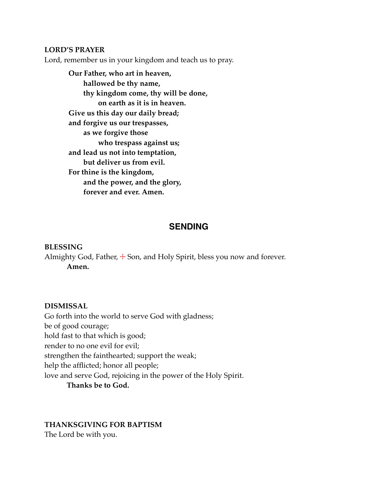### **LORD'S PRAYER**

Lord, remember us in your kingdom and teach us to pray.

**Our Father, who art in heaven, hallowed be thy name, thy kingdom come, thy will be done, on earth as it is in heaven. Give us this day our daily bread; and forgive us our trespasses, as we forgive those who trespass against us; and lead us not into temptation, but deliver us from evil. For thine is the kingdom, and the power, and the glory, forever and ever. Amen.**

### **SENDING**

#### **BLESSING**

Almighty God, Father,  $\pm$  Son, and Holy Spirit, bless you now and forever. **Amen.**

#### **DISMISSAL**

Go forth into the world to serve God with gladness; be of good courage; hold fast to that which is good; render to no one evil for evil; strengthen the fainthearted; support the weak; help the afflicted; honor all people; love and serve God, rejoicing in the power of the Holy Spirit. **Thanks be to God.**

#### **THANKSGIVING FOR BAPTISM**

The Lord be with you.